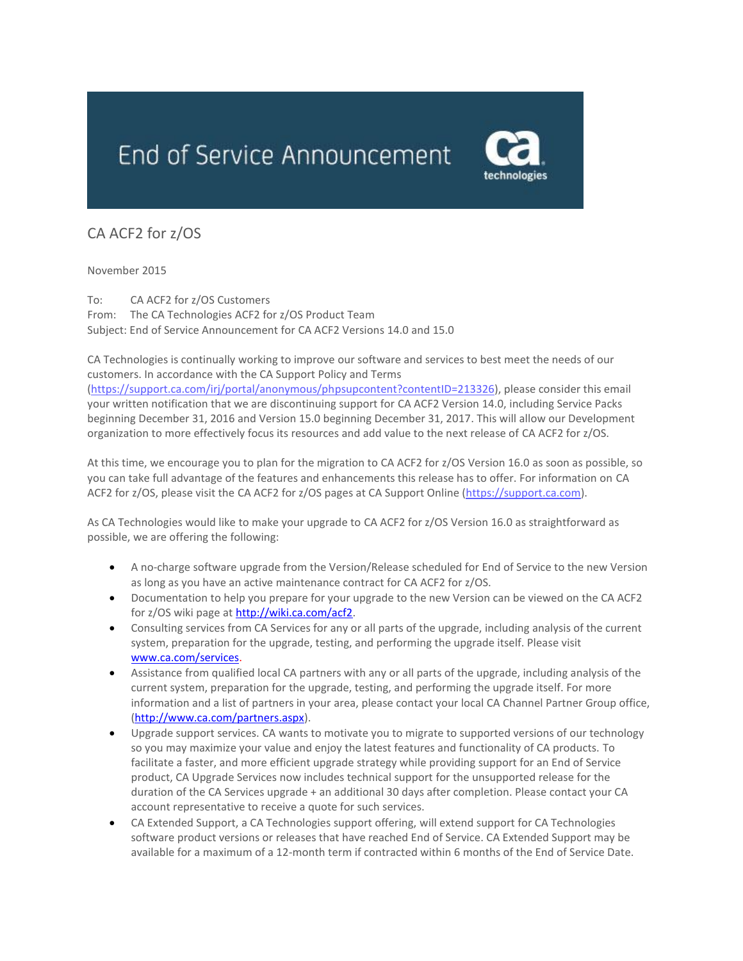

## CA ACF2 for z/OS

November 2015

To: CA ACF2 for z/OS Customers From: The CA Technologies ACF2 for z/OS Product Team Subject: End of Service Announcement for CA ACF2 Versions 14.0 and 15.0

CA Technologies is continually working to improve our software and services to best meet the needs of our customers. In accordance with the CA Support Policy and Terms

[\(https://support.ca.com/irj/portal/anonymous/phpsupcontent?contentID=213326\)](https://support.ca.com/irj/portal/anonymous/phpsupcontent?contentID=213326), please consider this email your written notification that we are discontinuing support for CA ACF2 Version 14.0, including Service Packs beginning December 31, 2016 and Version 15.0 beginning December 31, 2017. This will allow our Development organization to more effectively focus its resources and add value to the next release of CA ACF2 for z/OS.

At this time, we encourage you to plan for the migration to CA ACF2 for z/OS Version 16.0 as soon as possible, so you can take full advantage of the features and enhancements this release has to offer. For information on CA ACF2 for z/OS, please visit the CA ACF2 for z/OS pages at CA Support Online [\(https://support.ca.com\)](https://support.ca.com/).

As CA Technologies would like to make your upgrade to CA ACF2 for z/OS Version 16.0 as straightforward as possible, we are offering the following:

- A no-charge software upgrade from the Version/Release scheduled for End of Service to the new Version as long as you have an active maintenance contract for CA ACF2 for z/OS.
- Documentation to help you prepare for your upgrade to the new Version can be viewed on the CA ACF2 for z/OS wiki page at [http://wiki.ca.com/acf2.](http://wiki.ca.com/acf2)
- Consulting services from CA Services for any or all parts of the upgrade, including analysis of the current system, preparation for the upgrade, testing, and performing the upgrade itself. Please visit [www.ca.com/services.](http://www.ca.com/services)
- Assistance from qualified local CA partners with any or all parts of the upgrade, including analysis of the current system, preparation for the upgrade, testing, and performing the upgrade itself. For more information and a list of partners in your area, please contact your local CA Channel Partner Group office, [\(http://www.ca.com/partners.aspx\)](http://www.ca.com/partners.aspx).
- Upgrade support services. CA wants to motivate you to migrate to supported versions of our technology so you may maximize your value and enjoy the latest features and functionality of CA products. To facilitate a faster, and more efficient upgrade strategy while providing support for an End of Service product, CA Upgrade Services now includes technical support for the unsupported release for the duration of the CA Services upgrade + an additional 30 days after completion. Please contact your CA account representative to receive a quote for such services.
- CA Extended Support, a CA Technologies support offering, will extend support for CA Technologies software product versions or releases that have reached End of Service. CA Extended Support may be available for a maximum of a 12-month term if contracted within 6 months of the End of Service Date.